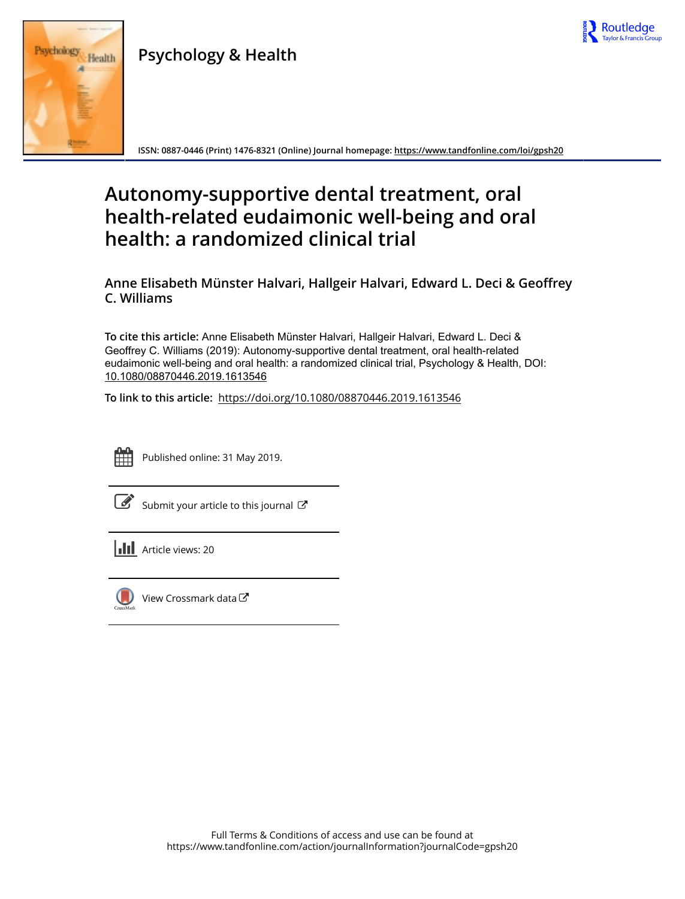

## Psychology & Health



ISSN: 0887-0446 (Print) 1476-8321 (Online) Journal homepage:<https://www.tandfonline.com/loi/gpsh20>

# Autonomy-supportive dental treatment, oral health-related eudaimonic well-being and oral health: a randomized clinical trial

Anne Elisabeth Münster Halvari, Hallgeir Halvari, Edward L. Deci & Geoffrey C. Williams

To cite this article: Anne Elisabeth Münster Halvari, Hallgeir Halvari, Edward L. Deci & Geoffrey C. Williams (2019): Autonomy-supportive dental treatment, oral health-related eudaimonic well-being and oral health: a randomized clinical trial, Psychology & Health, DOI: [10.1080/08870446.2019.1613546](https://www.tandfonline.com/action/showCitFormats?doi=10.1080/08870446.2019.1613546)

To link to this article: <https://doi.org/10.1080/08870446.2019.1613546>



Published online: 31 May 2019.

[Submit your article to this journal](https://www.tandfonline.com/action/authorSubmission?journalCode=gpsh20&show=instructions)  $\mathbb{Z}$ 

**III** Article views: 20



[View Crossmark data](http://crossmark.crossref.org/dialog/?doi=10.1080/08870446.2019.1613546&domain=pdf&date_stamp=2019-05-31) $\bm{\mathcal{C}}$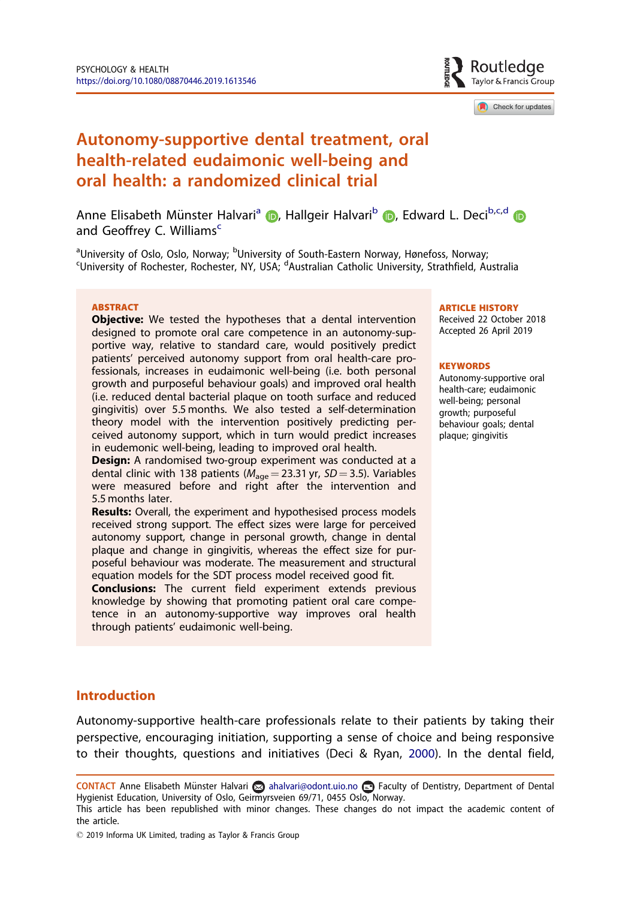Routledae Tavlor & Francis Group

Check for updates

## <span id="page-1-0"></span>Autonomy-supportive dental treatment, oral health-related eudaimonic well-being and oral health: a randomized clinical trial

Anne Elisabeth Münster Halvari<sup>a</sup> (D. Hallgeir Halvari<sup>b</sup> (D. Edward L. Deci<sup>b[,](http://orcid.org/0000-0001-5506-4704)c,d</sup> (D. and Geoffrey C. Williams<sup>c</sup>

<sup>a</sup>University of Oslo, Oslo, Norway; <sup>b</sup>University of South-Eastern Norway, Hønefoss, Norway;<br>SUniversity of Pechester, Rechester, NY, USA, <sup>d</sup>Australian Catholic University, Strathfield, A University of Rochester, Rochester, NY, USA; <sup>d</sup>Australian Catholic University, Strathfield, Australia

#### **ARSTRACT**

**Objective:** We tested the hypotheses that a dental intervention designed to promote oral care competence in an autonomy-supportive way, relative to standard care, would positively predict patients' perceived autonomy support from oral health-care professionals, increases in eudaimonic well-being (i.e. both personal growth and purposeful behaviour goals) and improved oral health (i.e. reduced dental bacterial plaque on tooth surface and reduced gingivitis) over 5.5 months. We also tested a self-determination theory model with the intervention positively predicting perceived autonomy support, which in turn would predict increases in eudemonic well-being, leading to improved oral health.

Design: A randomised two-group experiment was conducted at a dental clinic with 138 patients (M<sub>age</sub> = 23.31 yr, *SD* = 3.5). Variables<br>were measured before and right after the intervention and 5.5 months later.

Results: Overall, the experiment and hypothesised process models received strong support. The effect sizes were large for perceived autonomy support, change in personal growth, change in dental plaque and change in gingivitis, whereas the effect size for purposeful behaviour was moderate. The measurement and structural equation models for the SDT process model received good fit.

Conclusions: The current field experiment extends previous knowledge by showing that promoting patient oral care competence in an autonomy-supportive way improves oral health through patients' eudaimonic well-being.

#### ARTICLE HISTORY

Received 22 October 2018 Accepted 26 April 2019

#### **KEYWORDS**

Autonomy-supportive oral health-care; eudaimonic well-being; personal growth; purposeful behaviour goals; dental plaque; gingivitis

## Introduction

Autonomy-supportive health-care professionals relate to their patients by taking their perspective, encouraging initiation, supporting a sense of choice and being responsive to their thoughts, questions and initiatives (Deci & Ryan, [2000](#page-14-0)). In the dental field,

CONTACT Anne Elisabeth Münster Halvari a ahalvari@odont.uio.no **E** Faculty of Dentistry, Department of Dental Hygienist Education, University of Oslo, Geirmyrsveien 69/71, 0455 Oslo, Norway.

This article has been republished with minor changes. These changes do not impact the academic content of the article.

 $\degree$  2019 Informa UK Limited, trading as Taylor & Francis Group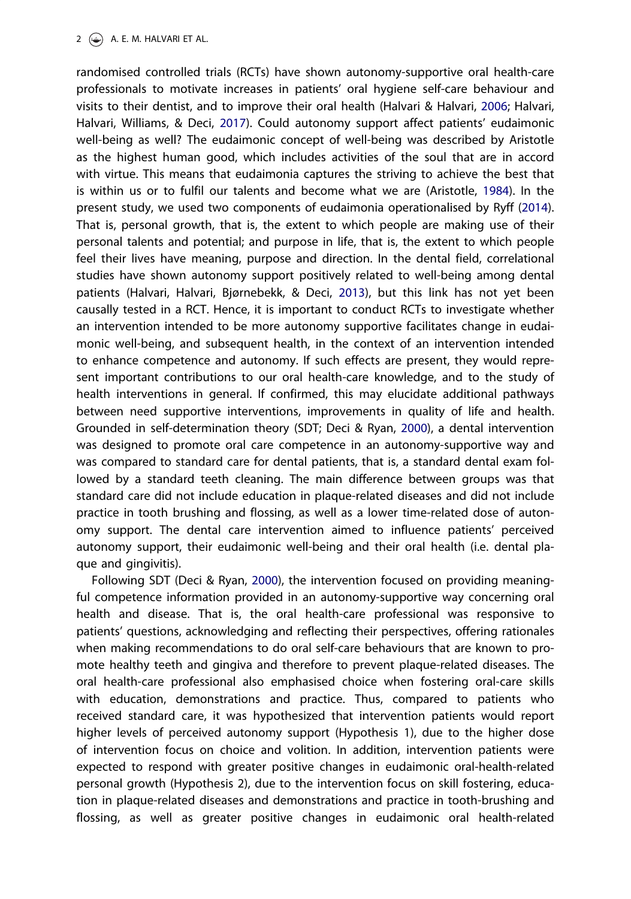#### <span id="page-2-0"></span>2  $\left(\frac{1}{2}\right)$  A. E. M. HALVARI ET AL.

randomised controlled trials (RCTs) have shown autonomy-supportive oral health-care professionals to motivate increases in patients' oral hygiene self-care behaviour and visits to their dentist, and to improve their oral health (Halvari & Halvari, [2006;](#page-14-0) Halvari, Halvari, Williams, & Deci, [2017](#page-15-0)). Could autonomy support affect patients' eudaimonic well-being as well? The eudaimonic concept of well-being was described by Aristotle as the highest human good, which includes activities of the soul that are in accord with virtue. This means that eudaimonia captures the striving to achieve the best that is within us or to fulfil our talents and become what we are (Aristotle, [1984](#page-14-0)). In the present study, we used two components of eudaimonia operationalised by Ryff [\(2014\)](#page-15-0). That is, personal growth, that is, the extent to which people are making use of their personal talents and potential; and purpose in life, that is, the extent to which people feel their lives have meaning, purpose and direction. In the dental field, correlational studies have shown autonomy support positively related to well-being among dental patients (Halvari, Halvari, Bjørnebekk, & Deci, [2013\)](#page-14-0), but this link has not yet been causally tested in a RCT. Hence, it is important to conduct RCTs to investigate whether an intervention intended to be more autonomy supportive facilitates change in eudaimonic well-being, and subsequent health, in the context of an intervention intended to enhance competence and autonomy. If such effects are present, they would represent important contributions to our oral health-care knowledge, and to the study of health interventions in general. If confirmed, this may elucidate additional pathways between need supportive interventions, improvements in quality of life and health. Grounded in self-determination theory (SDT; Deci & Ryan, [2000](#page-14-0)), a dental intervention was designed to promote oral care competence in an autonomy-supportive way and was compared to standard care for dental patients, that is, a standard dental exam followed by a standard teeth cleaning. The main difference between groups was that standard care did not include education in plaque-related diseases and did not include practice in tooth brushing and flossing, as well as a lower time-related dose of autonomy support. The dental care intervention aimed to influence patients' perceived autonomy support, their eudaimonic well-being and their oral health (i.e. dental plaque and gingivitis).

Following SDT (Deci & Ryan, [2000](#page-14-0)), the intervention focused on providing meaningful competence information provided in an autonomy-supportive way concerning oral health and disease. That is, the oral health-care professional was responsive to patients' questions, acknowledging and reflecting their perspectives, offering rationales when making recommendations to do oral self-care behaviours that are known to promote healthy teeth and gingiva and therefore to prevent plaque-related diseases. The oral health-care professional also emphasised choice when fostering oral-care skills with education, demonstrations and practice. Thus, compared to patients who received standard care, it was hypothesized that intervention patients would report higher levels of perceived autonomy support (Hypothesis 1), due to the higher dose of intervention focus on choice and volition. In addition, intervention patients were expected to respond with greater positive changes in eudaimonic oral-health-related personal growth (Hypothesis 2), due to the intervention focus on skill fostering, education in plaque-related diseases and demonstrations and practice in tooth-brushing and flossing, as well as greater positive changes in eudaimonic oral health-related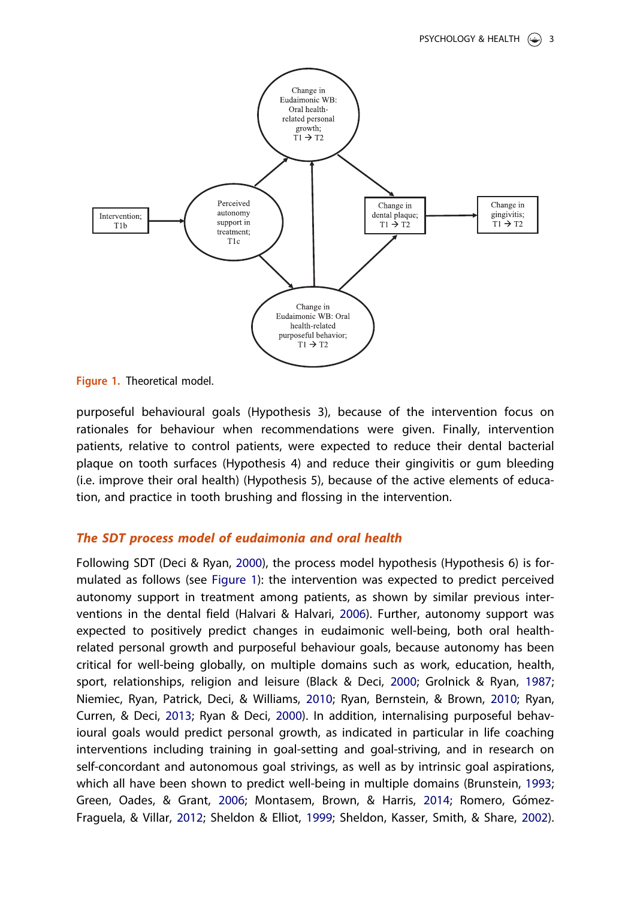<span id="page-3-0"></span>

Figure 1. Theoretical model.

purposeful behavioural goals (Hypothesis 3), because of the intervention focus on rationales for behaviour when recommendations were given. Finally, intervention patients, relative to control patients, were expected to reduce their dental bacterial plaque on tooth surfaces (Hypothesis 4) and reduce their gingivitis or gum bleeding (i.e. improve their oral health) (Hypothesis 5), because of the active elements of education, and practice in tooth brushing and flossing in the intervention.

## The SDT process model of eudaimonia and oral health

Following SDT (Deci & Ryan, [2000](#page-14-0)), the process model hypothesis (Hypothesis 6) is formulated as follows (see Figure 1): the intervention was expected to predict perceived autonomy support in treatment among patients, as shown by similar previous interventions in the dental field (Halvari & Halvari, [2006](#page-14-0)). Further, autonomy support was expected to positively predict changes in eudaimonic well-being, both oral healthrelated personal growth and purposeful behaviour goals, because autonomy has been critical for well-being globally, on multiple domains such as work, education, health, sport, relationships, religion and leisure (Black & Deci, [2000;](#page-14-0) Grolnick & Ryan, [1987](#page-14-0); Niemiec, Ryan, Patrick, Deci, & Williams, [2010;](#page-15-0) Ryan, Bernstein, & Brown, [2010](#page-15-0); Ryan, Curren, & Deci, [2013;](#page-15-0) Ryan & Deci, [2000](#page-15-0)). In addition, internalising purposeful behavioural goals would predict personal growth, as indicated in particular in life coaching interventions including training in goal-setting and goal-striving, and in research on self-concordant and autonomous goal strivings, as well as by intrinsic goal aspirations, which all have been shown to predict well-being in multiple domains (Brunstein, [1993](#page-14-0); Green, Oades, & Grant, [2006](#page-14-0); Montasem, Brown, & Harris, [2014;](#page-15-0) Romero, Gómez-Fraguela, & Villar, [2012;](#page-15-0) Sheldon & Elliot, [1999;](#page-15-0) Sheldon, Kasser, Smith, & Share, [2002\)](#page-15-0).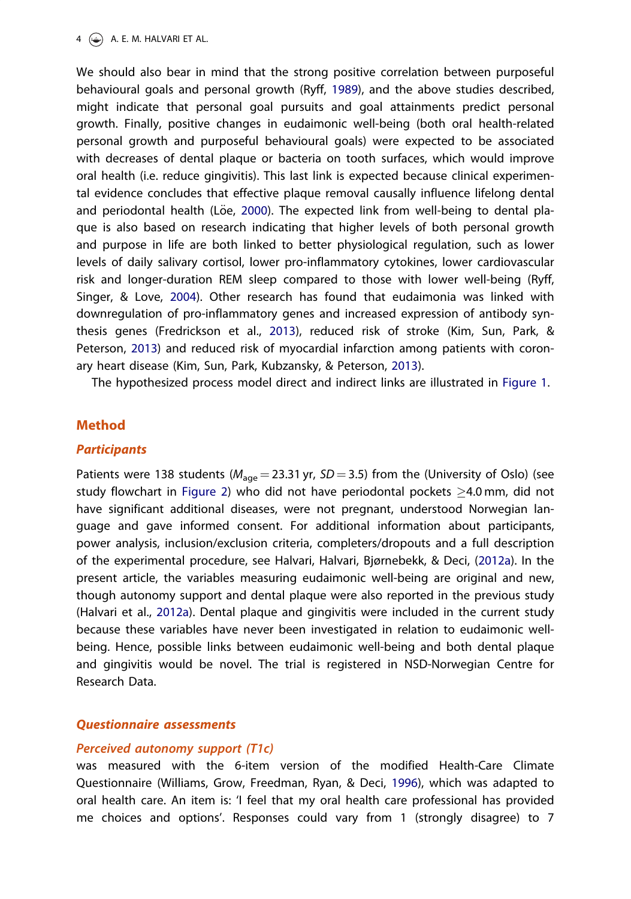<span id="page-4-0"></span>We should also bear in mind that the strong positive correlation between purposeful behavioural goals and personal growth (Ryff, [1989\)](#page-15-0), and the above studies described, might indicate that personal goal pursuits and goal attainments predict personal growth. Finally, positive changes in eudaimonic well-being (both oral health-related personal growth and purposeful behavioural goals) were expected to be associated with decreases of dental plaque or bacteria on tooth surfaces, which would improve oral health (i.e. reduce gingivitis). This last link is expected because clinical experimental evidence concludes that effective plaque removal causally influence lifelong dental and periodontal health (Löe, [2000](#page-15-0)). The expected link from well-being to dental plaque is also based on research indicating that higher levels of both personal growth and purpose in life are both linked to better physiological regulation, such as lower levels of daily salivary cortisol, lower pro-inflammatory cytokines, lower cardiovascular risk and longer-duration REM sleep compared to those with lower well-being (Ryff, Singer, & Love, [2004\)](#page-15-0). Other research has found that eudaimonia was linked with downregulation of pro-inflammatory genes and increased expression of antibody synthesis genes (Fredrickson et al., [2013](#page-14-0)), reduced risk of stroke (Kim, Sun, Park, & Peterson, [2013](#page-15-0)) and reduced risk of myocardial infarction among patients with coronary heart disease (Kim, Sun, Park, Kubzansky, & Peterson, [2013\)](#page-15-0).

The hypothesized process model direct and indirect links are illustrated in [Figure 1](#page-3-0).

## Method

## **Participants**

Patients were 138 students ( $M_{\text{ace}} = 23.31$  yr, SD = 3.5) from the (University of Oslo) (see study flowchart in [Figure 2](#page-5-0)) who did not have periodontal pockets  $\geq$ 4.0 mm, did not have significant additional diseases, were not pregnant, understood Norwegian language and gave informed consent. For additional information about participants, power analysis, inclusion/exclusion criteria, completers/dropouts and a full description of the experimental procedure, see Halvari, Halvari, Bjørnebekk, & Deci, [\(2012a](#page-14-0)). In the present article, the variables measuring eudaimonic well-being are original and new, though autonomy support and dental plaque were also reported in the previous study (Halvari et al., [2012a\)](#page-14-0). Dental plaque and gingivitis were included in the current study because these variables have never been investigated in relation to eudaimonic wellbeing. Hence, possible links between eudaimonic well-being and both dental plaque and gingivitis would be novel. The trial is registered in NSD-Norwegian Centre for Research Data.

## Questionnaire assessments

### Perceived autonomy support (T1c)

was measured with the 6-item version of the modified Health-Care Climate Questionnaire (Williams, Grow, Freedman, Ryan, & Deci, [1996\)](#page-16-0), which was adapted to oral health care. An item is: 'I feel that my oral health care professional has provided me choices and options'. Responses could vary from 1 (strongly disagree) to 7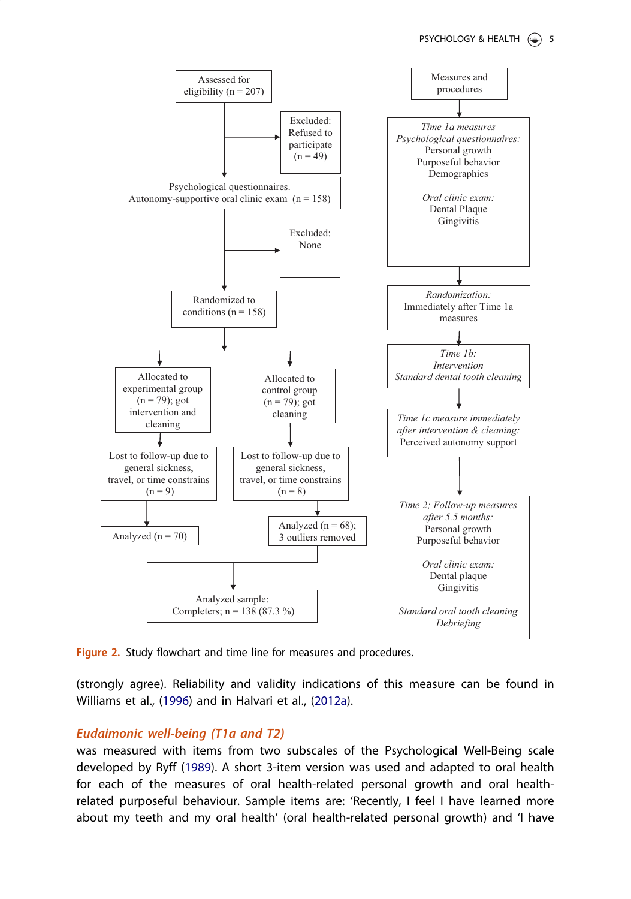<span id="page-5-0"></span>

Figure 2. Study flowchart and time line for measures and procedures.

(strongly agree). Reliability and validity indications of this measure can be found in Williams et al., [\(1996\)](#page-16-0) and in Halvari et al., ([2012a](#page-14-0)).

## Eudaimonic well-being (T1a and T2)

was measured with items from two subscales of the Psychological Well-Being scale developed by Ryff [\(1989\)](#page-15-0). A short 3-item version was used and adapted to oral health for each of the measures of oral health-related personal growth and oral healthrelated purposeful behaviour. Sample items are: 'Recently, I feel I have learned more about my teeth and my oral health' (oral health-related personal growth) and 'I have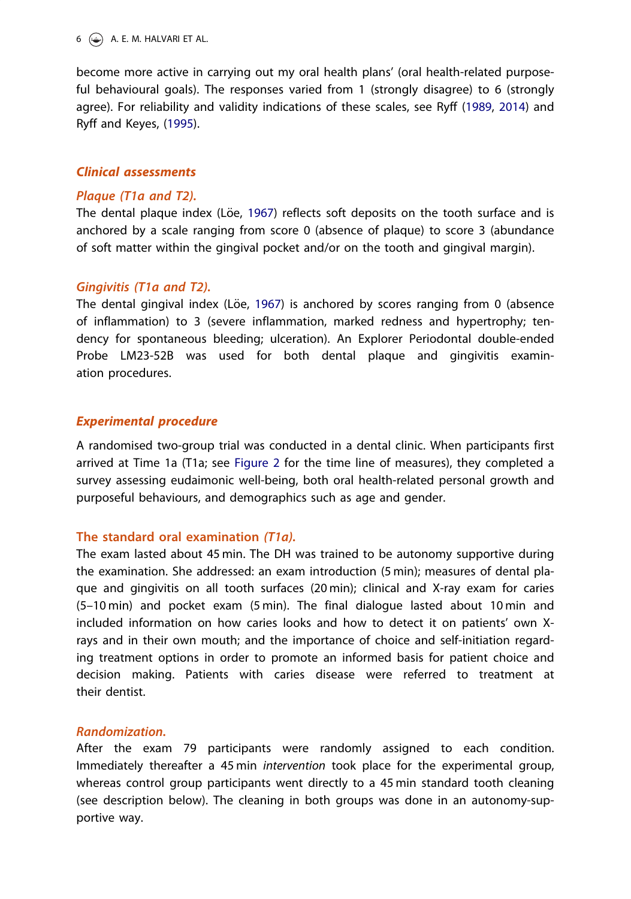<span id="page-6-0"></span>become more active in carrying out my oral health plans' (oral health-related purposeful behavioural goals). The responses varied from 1 (strongly disagree) to 6 (strongly agree). For reliability and validity indications of these scales, see Ryff [\(1989,](#page-15-0) [2014\)](#page-15-0) and Ryff and Keyes, ([1995](#page-15-0)).

## Clinical assessments

## Plaque (T1a and T2).

The dental plaque index (Löe, [1967](#page-15-0)) reflects soft deposits on the tooth surface and is anchored by a scale ranging from score 0 (absence of plaque) to score 3 (abundance of soft matter within the gingival pocket and/or on the tooth and gingival margin).

## Gingivitis (T1a and T2).

The dental gingival index (Löe,  $1967$ ) is anchored by scores ranging from 0 (absence of inflammation) to 3 (severe inflammation, marked redness and hypertrophy; tendency for spontaneous bleeding; ulceration). An Explorer Periodontal double-ended Probe LM23-52B was used for both dental plaque and gingivitis examination procedures.

## Experimental procedure

A randomised two-group trial was conducted in a dental clinic. When participants first arrived at Time 1a (T1a; see [Figure 2](#page-5-0) for the time line of measures), they completed a survey assessing eudaimonic well-being, both oral health-related personal growth and purposeful behaviours, and demographics such as age and gender.

## The standard oral examination (T1a).

The exam lasted about 45 min. The DH was trained to be autonomy supportive during the examination. She addressed: an exam introduction (5 min); measures of dental plaque and gingivitis on all tooth surfaces (20 min); clinical and X-ray exam for caries (5–10 min) and pocket exam (5 min). The final dialogue lasted about 10 min and included information on how caries looks and how to detect it on patients' own Xrays and in their own mouth; and the importance of choice and self-initiation regarding treatment options in order to promote an informed basis for patient choice and decision making. Patients with caries disease were referred to treatment at their dentist.

## Randomization.

After the exam 79 participants were randomly assigned to each condition. Immediately thereafter a 45 min intervention took place for the experimental group, whereas control group participants went directly to a 45 min standard tooth cleaning (see description below). The cleaning in both groups was done in an autonomy-supportive way.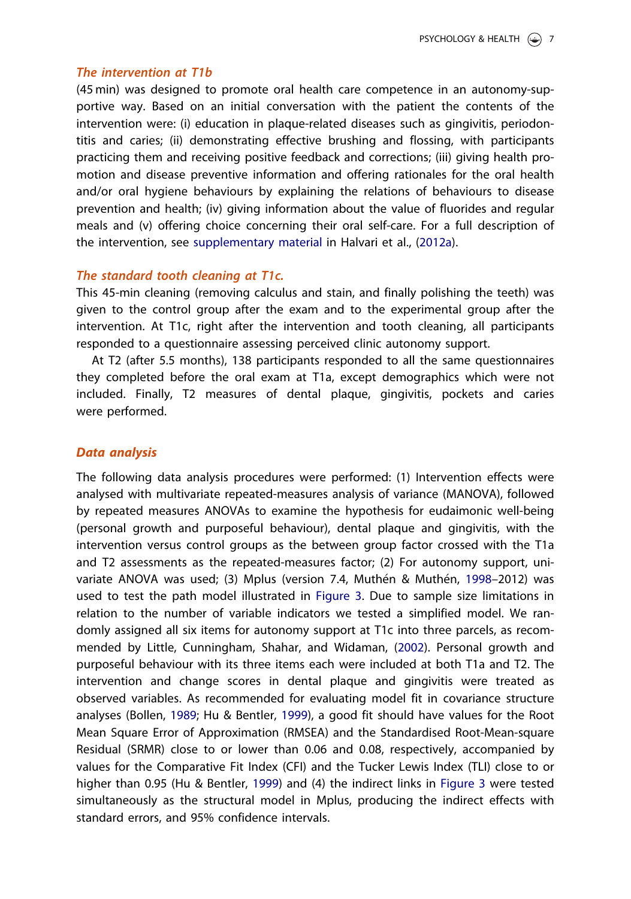#### <span id="page-7-0"></span>The intervention at T1b

(45 min) was designed to promote oral health care competence in an autonomy-supportive way. Based on an initial conversation with the patient the contents of the intervention were: (i) education in plaque-related diseases such as gingivitis, periodontitis and caries; (ii) demonstrating effective brushing and flossing, with participants practicing them and receiving positive feedback and corrections; (iii) giving health promotion and disease preventive information and offering rationales for the oral health and/or oral hygiene behaviours by explaining the relations of behaviours to disease prevention and health; (iv) giving information about the value of fluorides and regular meals and (v) offering choice concerning their oral self-care. For a full description of the intervention, see [supplementary material](https://doi.org/10.1080/08870446.2019.1613546) in Halvari et al., [\(2012a](#page-14-0)).

### The standard tooth cleaning at T1c.

This 45-min cleaning (removing calculus and stain, and finally polishing the teeth) was given to the control group after the exam and to the experimental group after the intervention. At T1c, right after the intervention and tooth cleaning, all participants responded to a questionnaire assessing perceived clinic autonomy support.

At T2 (after 5.5 months), 138 participants responded to all the same questionnaires they completed before the oral exam at T1a, except demographics which were not included. Finally, T2 measures of dental plaque, gingivitis, pockets and caries were performed.

#### Data analysis

The following data analysis procedures were performed: (1) Intervention effects were analysed with multivariate repeated-measures analysis of variance (MANOVA), followed by repeated measures ANOVAs to examine the hypothesis for eudaimonic well-being (personal growth and purposeful behaviour), dental plaque and gingivitis, with the intervention versus control groups as the between group factor crossed with the T1a and T2 assessments as the repeated-measures factor; (2) For autonomy support, uni-variate ANOVA was used; (3) Mplus (version 7.4, Muthén & Muthén, [1998](#page-15-0)–2012) was used to test the path model illustrated in [Figure 3.](#page-8-0) Due to sample size limitations in relation to the number of variable indicators we tested a simplified model. We randomly assigned all six items for autonomy support at T1c into three parcels, as recommended by Little, Cunningham, Shahar, and Widaman, [\(2002\)](#page-15-0). Personal growth and purposeful behaviour with its three items each were included at both T1a and T2. The intervention and change scores in dental plaque and gingivitis were treated as observed variables. As recommended for evaluating model fit in covariance structure analyses (Bollen, [1989;](#page-14-0) Hu & Bentler, [1999\)](#page-15-0), a good fit should have values for the Root Mean Square Error of Approximation (RMSEA) and the Standardised Root-Mean-square Residual (SRMR) close to or lower than 0.06 and 0.08, respectively, accompanied by values for the Comparative Fit Index (CFI) and the Tucker Lewis Index (TLI) close to or higher than 0.95 (Hu & Bentler, [1999\)](#page-15-0) and (4) the indirect links in [Figure 3](#page-8-0) were tested simultaneously as the structural model in Mplus, producing the indirect effects with standard errors, and 95% confidence intervals.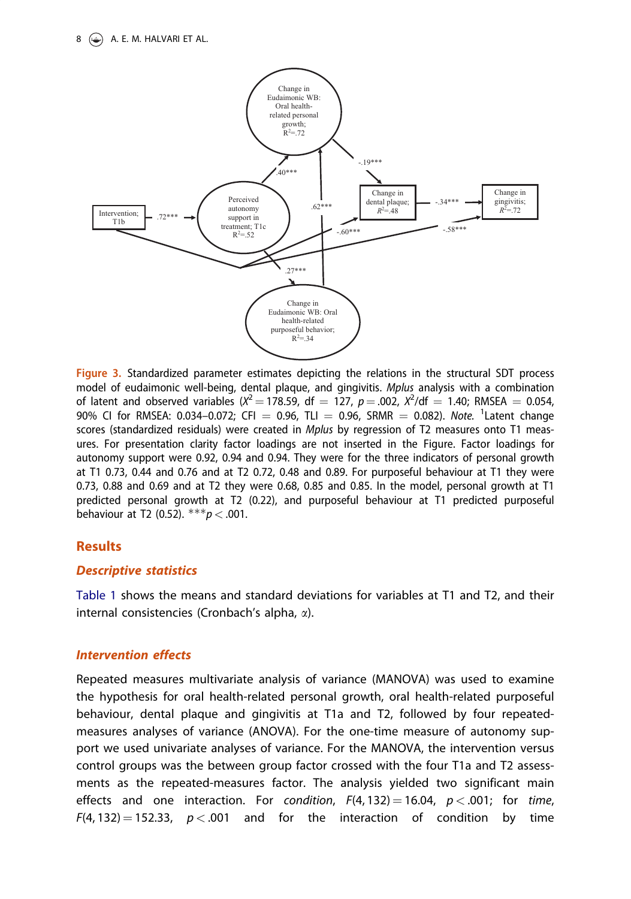<span id="page-8-0"></span>

Figure 3. Standardized parameter estimates depicting the relations in the structural SDT process model of eudaimonic well-being, dental plaque, and gingivitis. Mplus analysis with a combination of latent and observed variables ( $X^2 = 178.59$ , df = 127,  $p = .002$ ,  $X^2/df = 1.40$ ; RMSEA = 0.054, 90% CI for RMSEA: 0.034-0.072; CFI = 0.96, TLI = 0.96, SRMR = 0.082). Note. <sup>1</sup>Latent change scores (standardized residuals) were created in Mplus by regression of T2 measures onto T1 measures. For presentation clarity factor loadings are not inserted in the Figure. Factor loadings for autonomy support were 0.92, 0.94 and 0.94. They were for the three indicators of personal growth at T1 0.73, 0.44 and 0.76 and at T2 0.72, 0.48 and 0.89. For purposeful behaviour at T1 they were 0.73, 0.88 and 0.69 and at T2 they were 0.68, 0.85 and 0.85. In the model, personal growth at T1 predicted personal growth at T2 (0.22), and purposeful behaviour at T1 predicted purposeful behaviour at T2 (0.52).  $***p < .001$ .

## Results

## Descriptive statistics

[Table 1](#page-9-0) shows the means and standard deviations for variables at T1 and T2, and their internal consistencies (Cronbach's alpha, a).

## Intervention effects

Repeated measures multivariate analysis of variance (MANOVA) was used to examine the hypothesis for oral health-related personal growth, oral health-related purposeful behaviour, dental plaque and gingivitis at T1a and T2, followed by four repeatedmeasures analyses of variance (ANOVA). For the one-time measure of autonomy support we used univariate analyses of variance. For the MANOVA, the intervention versus control groups was the between group factor crossed with the four T1a and T2 assessments as the repeated-measures factor. The analysis yielded two significant main effects and one interaction. For condition,  $F(4, 132) = 16.04$ ,  $p < .001$ ; for time,  $F(4, 132) = 152.33$ ,  $p < .001$  and for the interaction of condition by time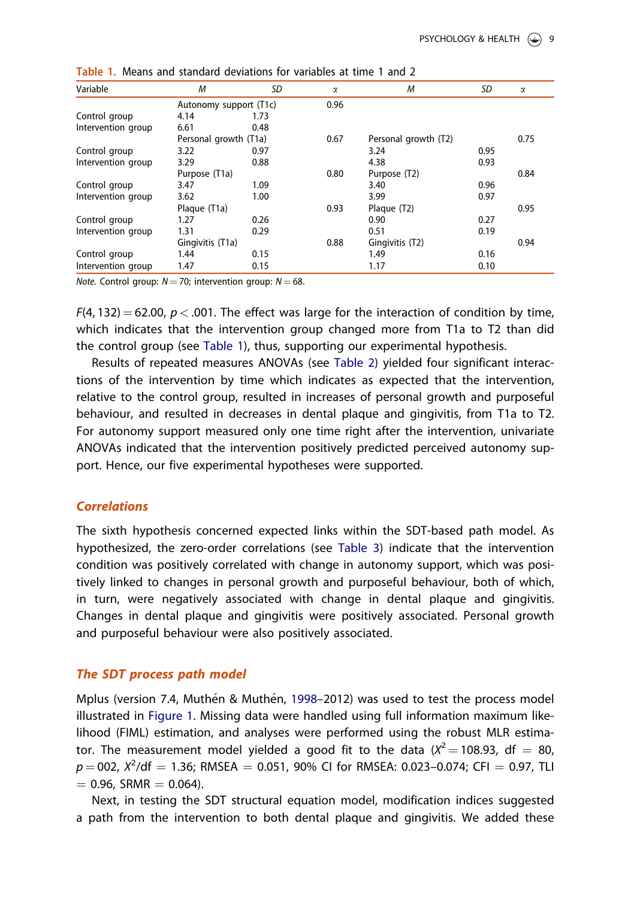| Variable           | M                     | SD                     | $\alpha$ | M                    | SD   | $\alpha$ |
|--------------------|-----------------------|------------------------|----------|----------------------|------|----------|
|                    |                       | Autonomy support (T1c) | 0.96     |                      |      |          |
| Control group      | 4.14                  | 1.73                   |          |                      |      |          |
| Intervention group | 6.61                  | 0.48                   |          |                      |      |          |
|                    | Personal growth (T1a) |                        | 0.67     | Personal growth (T2) |      | 0.75     |
| Control group      | 3.22                  | 0.97                   |          | 3.24                 | 0.95 |          |
| Intervention group | 3.29                  | 0.88                   |          | 4.38                 | 0.93 |          |
|                    | Purpose (T1a)         |                        | 0.80     | Purpose (T2)         |      | 0.84     |
| Control group      | 3.47                  | 1.09                   |          | 3.40                 | 0.96 |          |
| Intervention group | 3.62                  | 1.00                   |          | 3.99                 | 0.97 |          |
|                    | Plaque (T1a)          |                        | 0.93     | Plaque (T2)          |      | 0.95     |
| Control group      | 1.27                  | 0.26                   |          | 0.90                 | 0.27 |          |
| Intervention group | 1.31                  | 0.29                   |          | 0.51                 | 0.19 |          |
|                    | Gingivitis (T1a)      |                        | 0.88     | Gingivitis (T2)      |      | 0.94     |
| Control group      | 1.44                  | 0.15                   |          | 1.49                 | 0.16 |          |
| Intervention group | 1.47                  | 0.15                   |          | 1.17                 | 0.10 |          |

<span id="page-9-0"></span>

|  |  | Table 1. Means and standard deviations for variables at time 1 and 2 |
|--|--|----------------------------------------------------------------------|
|--|--|----------------------------------------------------------------------|

*Note.* Control group:  $N = 70$ ; intervention group:  $N = 68$ .

 $F(4, 132) = 62.00$ ,  $p < .001$ . The effect was large for the interaction of condition by time, which indicates that the intervention group changed more from T1a to T2 than did the control group (see Table 1), thus, supporting our experimental hypothesis.

Results of repeated measures ANOVAs (see [Table 2\)](#page-10-0) yielded four significant interactions of the intervention by time which indicates as expected that the intervention, relative to the control group, resulted in increases of personal growth and purposeful behaviour, and resulted in decreases in dental plaque and gingivitis, from T1a to T2. For autonomy support measured only one time right after the intervention, univariate ANOVAs indicated that the intervention positively predicted perceived autonomy support. Hence, our five experimental hypotheses were supported.

## **Correlations**

The sixth hypothesis concerned expected links within the SDT-based path model. As hypothesized, the zero-order correlations (see [Table 3\)](#page-11-0) indicate that the intervention condition was positively correlated with change in autonomy support, which was positively linked to changes in personal growth and purposeful behaviour, both of which, in turn, were negatively associated with change in dental plaque and gingivitis. Changes in dental plaque and gingivitis were positively associated. Personal growth and purposeful behaviour were also positively associated.

## The SDT process path model

Mplus (version 7.4, Muthén & Muthén, [1998](#page-15-0)–2012) was used to test the process model illustrated in [Figure 1](#page-3-0). Missing data were handled using full information maximum likelihood (FIML) estimation, and analyses were performed using the robust MLR estimator. The measurement model yielded a good fit to the data  $(X^2 = 108.93, df = 80,$  $p = 002$ ,  $\chi^2$ /df  $= 1.36$ ; RMSEA  $= 0.051$ , 90% CI for RMSEA: 0.023–0.074; CFI  $= 0.97$ , TLI  $= 0.96$ , SRMR  $= 0.064$ ).

Next, in testing the SDT structural equation model, modification indices suggested a path from the intervention to both dental plaque and gingivitis. We added these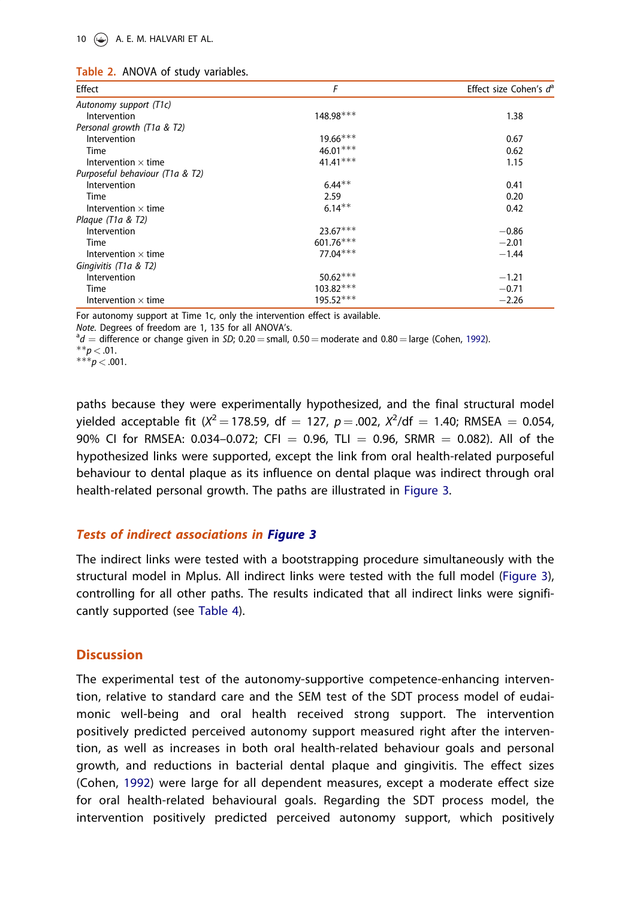#### <span id="page-10-0"></span>10 **A. E. M. HALVARI ET AL.**

|  |  |  | Table 2. ANOVA of study variables. |
|--|--|--|------------------------------------|
|--|--|--|------------------------------------|

| Effect                          | F          | Effect size Cohen's d <sup>a</sup> |
|---------------------------------|------------|------------------------------------|
| Autonomy support (T1c)          |            |                                    |
| Intervention                    | 148.98***  | 1.38                               |
| Personal growth (T1a & T2)      |            |                                    |
| Intervention                    | $19.66***$ | 0.67                               |
| Time                            | $46.01***$ | 0.62                               |
| Intervention $\times$ time      | $41.41***$ | 1.15                               |
| Purposeful behaviour (T1a & T2) |            |                                    |
| Intervention                    | $6.44**$   | 0.41                               |
| Time                            | 2.59       | 0.20                               |
| Intervention $\times$ time      | $6.14**$   | 0.42                               |
| Plaque (T1a & T2)               |            |                                    |
| Intervention                    | $23.67***$ | $-0.86$                            |
| Time                            | 601.76***  | $-2.01$                            |
| Intervention $\times$ time      | $77.04***$ | $-1.44$                            |
| Gingivitis (T1a & T2)           |            |                                    |
| Intervention                    | $50.62***$ | $-1.21$                            |
| Time                            | 103.82***  | $-0.71$                            |
| Intervention $\times$ time      | 195.52***  | $-2.26$                            |

For autonomy support at Time 1c, only the intervention effect is available.

Note. Degrees of freedom are 1, 135 for all ANOVA's.

 $d = \text{difference or change given in } SD$ ; 0.20 = small, 0.50 = moderate and 0.80 = large (Cohen, [1992\)](#page-14-0).  $d = \text{trace}$ 

 $***p$  < .001.

paths because they were experimentally hypothesized, and the final structural model yielded acceptable fit ( $X^2 = 178.59$ , df  $= 127$ ,  $p = .002$ ,  $X^2$ /df  $= 1.40$ ; RMSEA  $= 0.054$ , 90% CI for RMSEA: 0.034-0.072; CFI = 0.96, TLI = 0.96, SRMR = 0.082). All of the hypothesized links were supported, except the link from oral health-related purposeful behaviour to dental plaque as its influence on dental plaque was indirect through oral health-related personal growth. The paths are illustrated in [Figure 3](#page-8-0).

## Tests of indirect associations in [Figure 3](#page-8-0)

The indirect links were tested with a bootstrapping procedure simultaneously with the structural model in Mplus. All indirect links were tested with the full model [\(Figure 3\)](#page-8-0), controlling for all other paths. The results indicated that all indirect links were significantly supported (see [Table 4\)](#page-12-0).

## **Discussion**

The experimental test of the autonomy-supportive competence-enhancing intervention, relative to standard care and the SEM test of the SDT process model of eudaimonic well-being and oral health received strong support. The intervention positively predicted perceived autonomy support measured right after the intervention, as well as increases in both oral health-related behaviour goals and personal growth, and reductions in bacterial dental plaque and gingivitis. The effect sizes (Cohen, [1992\)](#page-14-0) were large for all dependent measures, except a moderate effect size for oral health-related behavioural goals. Regarding the SDT process model, the intervention positively predicted perceived autonomy support, which positively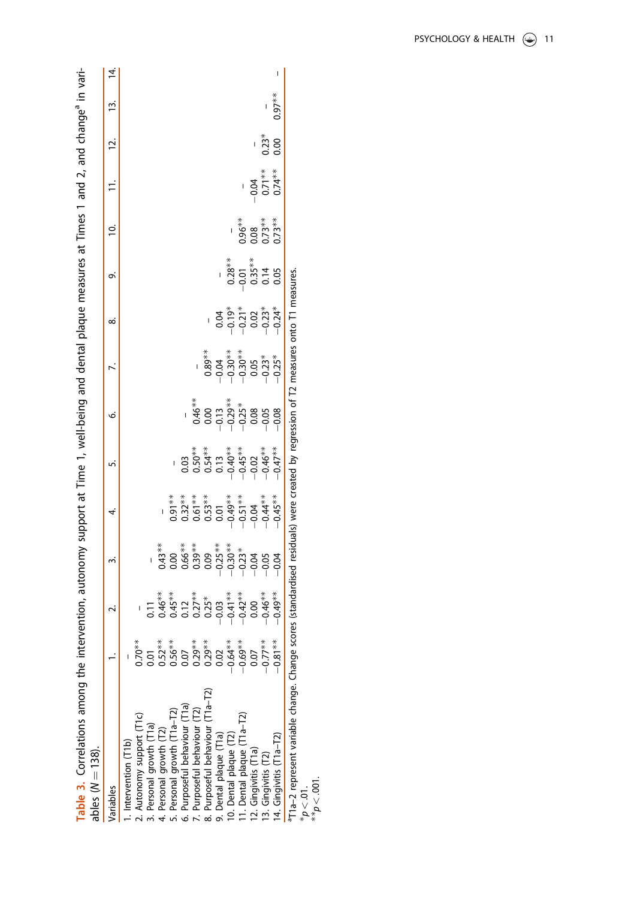<span id="page-11-0"></span>

| Table 3. Correlations among the intervention, autonomy support at Time 1, well-being and dental plaque measures at Times 1 and 2, and change <sup>a</sup> in vari- |            |   |    |                                                                                                                                                                                                                                                                                                                               |   |                                                    |                                                                                                                                                                                                                                                                                                                                                                                                  |                                            |                              |         |           |  |
|--------------------------------------------------------------------------------------------------------------------------------------------------------------------|------------|---|----|-------------------------------------------------------------------------------------------------------------------------------------------------------------------------------------------------------------------------------------------------------------------------------------------------------------------------------|---|----------------------------------------------------|--------------------------------------------------------------------------------------------------------------------------------------------------------------------------------------------------------------------------------------------------------------------------------------------------------------------------------------------------------------------------------------------------|--------------------------------------------|------------------------------|---------|-----------|--|
| ables $(N = 138)$ .                                                                                                                                                |            |   |    |                                                                                                                                                                                                                                                                                                                               |   |                                                    |                                                                                                                                                                                                                                                                                                                                                                                                  |                                            |                              |         |           |  |
| Variables                                                                                                                                                          |            | m | 4. | 'n                                                                                                                                                                                                                                                                                                                            | o | ∞                                                  | oi                                                                                                                                                                                                                                                                                                                                                                                               | <u>'5</u>                                  |                              | ني      | ഇ്        |  |
| . Intervention (T1b)                                                                                                                                               |            |   |    |                                                                                                                                                                                                                                                                                                                               |   |                                                    |                                                                                                                                                                                                                                                                                                                                                                                                  |                                            |                              |         |           |  |
| 2. Autonomy support (T1c)                                                                                                                                          | $0.70**$   |   |    |                                                                                                                                                                                                                                                                                                                               |   |                                                    |                                                                                                                                                                                                                                                                                                                                                                                                  |                                            |                              |         |           |  |
| 3. Personal growth (T1a)                                                                                                                                           |            |   |    |                                                                                                                                                                                                                                                                                                                               |   |                                                    |                                                                                                                                                                                                                                                                                                                                                                                                  |                                            |                              |         |           |  |
| 4. Personal growth (T2)                                                                                                                                            | $0.52***$  |   |    |                                                                                                                                                                                                                                                                                                                               |   |                                                    |                                                                                                                                                                                                                                                                                                                                                                                                  |                                            |                              |         |           |  |
| 5. Personal growth (T1a-T2)                                                                                                                                        | $0.56***$  |   |    |                                                                                                                                                                                                                                                                                                                               |   |                                                    |                                                                                                                                                                                                                                                                                                                                                                                                  |                                            |                              |         |           |  |
| 6. Purposeful behaviour (T1a)                                                                                                                                      | 0.07       |   |    |                                                                                                                                                                                                                                                                                                                               |   |                                                    |                                                                                                                                                                                                                                                                                                                                                                                                  |                                            |                              |         |           |  |
| 7. Purposeful behaviour (T2)                                                                                                                                       | $0.29***$  |   |    |                                                                                                                                                                                                                                                                                                                               |   |                                                    |                                                                                                                                                                                                                                                                                                                                                                                                  |                                            |                              |         |           |  |
| 8. Purposeful behaviour (T1a-T2)                                                                                                                                   | $0.29***$  |   |    | $\begin{array}{l} 03 \\ 0.56^{**} \\ 0.57^{**} \\ 0.98^{**} \\ 0.090^{**} \\ 0.090^{**} \\ 0.090^{**} \\ 0.090^{**} \\ 0.090^{**} \\ 0.090^{**} \\ 0.090^{**} \\ 0.090^{**} \\ 0.090^{**} \\ 0.090^{**} \\ 0.090^{**} \\ 0.090^{**} \\ 0.090^{**} \\ 0.090^{**} \\ 0.090^{**} \\ 0.090^{**} \\ 0.090^{**} \\ 0.090^{**} \\ 0$ |   |                                                    |                                                                                                                                                                                                                                                                                                                                                                                                  |                                            |                              |         |           |  |
| 9. Dental plaque (T1a)                                                                                                                                             | 0.02       |   |    |                                                                                                                                                                                                                                                                                                                               |   |                                                    |                                                                                                                                                                                                                                                                                                                                                                                                  |                                            |                              |         |           |  |
| 10. Dental plaque (T2)                                                                                                                                             | $-0.64**$  |   |    |                                                                                                                                                                                                                                                                                                                               |   | $0.04$<br>$0.021$<br>$0.021$<br>$0.024$<br>$0.044$ | $\begin{array}{r} -\frac{1}{2} & \frac{1}{2} & \frac{1}{2} \\ -\frac{1}{2} & -\frac{1}{2} & \frac{1}{2} \\ -\frac{1}{2} & -\frac{1}{2} & \frac{1}{2} \\ -\frac{1}{2} & -\frac{1}{2} & \frac{1}{2} \\ -\frac{1}{2} & -\frac{1}{2} & -\frac{1}{2} \\ -\frac{1}{2} & -\frac{1}{2} & -\frac{1}{2} \\ -\frac{1}{2} & -\frac{1}{2} & -\frac{1}{2} \\ -\frac{1}{2} & -\frac{1}{2} & -\frac{1}{2} \\ -\$ |                                            |                              |         |           |  |
| 11. Dental plaque (T1a-T2)                                                                                                                                         | $0.69**$   |   |    |                                                                                                                                                                                                                                                                                                                               |   |                                                    |                                                                                                                                                                                                                                                                                                                                                                                                  |                                            |                              |         |           |  |
| 12. Gingivitis (T1a)                                                                                                                                               | 0.07       |   |    |                                                                                                                                                                                                                                                                                                                               |   |                                                    |                                                                                                                                                                                                                                                                                                                                                                                                  | $0.96**$<br>$0.08$<br>$0.73**$<br>$0.73**$ |                              |         |           |  |
| 13. Gingivitis (T2)                                                                                                                                                | $-0.77***$ |   |    |                                                                                                                                                                                                                                                                                                                               |   |                                                    |                                                                                                                                                                                                                                                                                                                                                                                                  |                                            | $0.71**$<br>0.71**<br>0.74** |         |           |  |
| 14. Gingivitis (T1a-T2)                                                                                                                                            | $-0.81**$  |   |    |                                                                                                                                                                                                                                                                                                                               |   |                                                    |                                                                                                                                                                                                                                                                                                                                                                                                  |                                            |                              | $0.23*$ | $0.97***$ |  |
| $^{57}$ 1a-2 represent variable change. Change scores (standardised residuals) were created by regression of T2 measures onto T1 measures.                         |            |   |    |                                                                                                                                                                                                                                                                                                                               |   |                                                    |                                                                                                                                                                                                                                                                                                                                                                                                  |                                            |                              |         |           |  |

aT1a–2 represent variable change. Change scores (standardised residuals) were created by regression of T2 measures onto T1 measures. created by regr ⋚  $\overline{a}$ es ca Chien Ara unanye.  $\bar{5}$ 

 $*_{p < .01}^{*}$  (.001)

PSYCHOLOGY & HEALTH  $\circledast$  11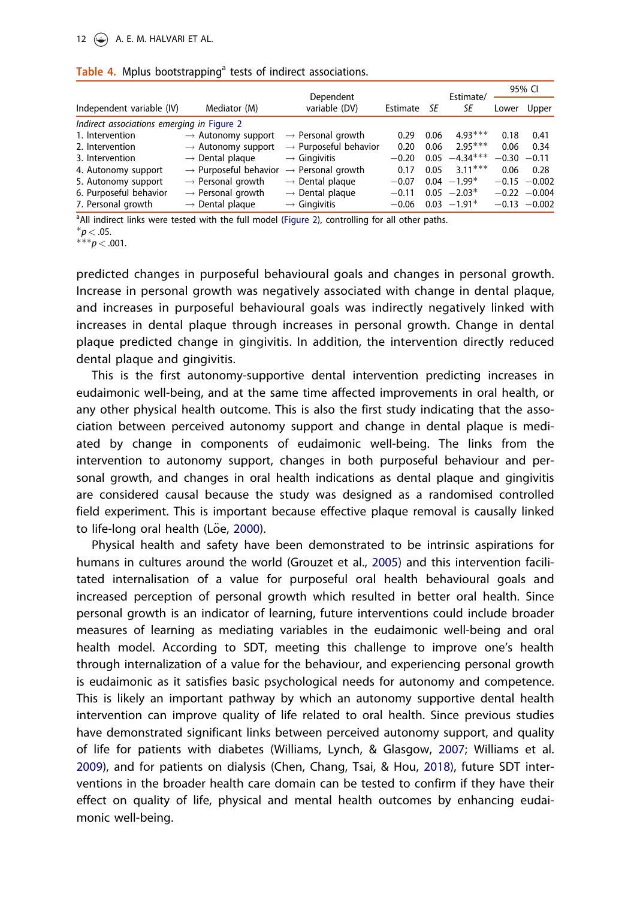#### <span id="page-12-0"></span>12  $\bigodot$  A. E. M. HALVARI ET AL.

|                                            |                                   | Dependent                         |          |      | Estimate/     |         | 95% CI          |
|--------------------------------------------|-----------------------------------|-----------------------------------|----------|------|---------------|---------|-----------------|
| Independent variable (IV)                  | Mediator (M)                      | variable (DV)                     | Estimate | SE   | SE            | Lower   | Upper           |
| Indirect associations emerging in Figure 2 |                                   |                                   |          |      |               |         |                 |
| 1. Intervention                            | $\rightarrow$ Autonomy support    | $\rightarrow$ Personal growth     | 0.29     | 0.06 | $4.93***$     | 0.18    | 0.41            |
| 2. Intervention                            | $\rightarrow$ Autonomy support    | $\rightarrow$ Purposeful behavior | 0.20     | 0.06 | $2.95***$     | 0.06    | 0.34            |
| 3. Intervention                            | $\rightarrow$ Dental plaque       | $\rightarrow$ Gingivitis          | $-0.20$  | 0.05 | $-4.34***$    | $-0.30$ | $-0.11$         |
| 4. Autonomy support                        | $\rightarrow$ Purposeful behavior | $\rightarrow$ Personal growth     | 0.17     | 0.05 | $3.11***$     | 0.06    | 0.28            |
| 5. Autonomy support                        | $\rightarrow$ Personal growth     | $\rightarrow$ Dental plaque       | $-0.07$  |      | $0.04 -1.99*$ | $-0.15$ | $-0.002$        |
| 6. Purposeful behavior                     | $\rightarrow$ Personal growth     | $\rightarrow$ Dental plaque       | $-0.11$  |      | $0.05 -2.03*$ |         | $-0.22 -0.004$  |
| 7. Personal growth                         | $\rightarrow$ Dental plaque       | $\rightarrow$ Gingivitis          | $-0.06$  |      | $0.03 -1.91*$ |         | $-0.13 - 0.002$ |

<sup>a</sup>All indirect links were tested with the full model [\(Figure 2](#page-5-0)), controlling for all other paths.

 $*_{p}$  < .05.

 $***p < .001$ .

predicted changes in purposeful behavioural goals and changes in personal growth. Increase in personal growth was negatively associated with change in dental plaque, and increases in purposeful behavioural goals was indirectly negatively linked with increases in dental plaque through increases in personal growth. Change in dental plaque predicted change in gingivitis. In addition, the intervention directly reduced dental plaque and gingivitis.

This is the first autonomy-supportive dental intervention predicting increases in eudaimonic well-being, and at the same time affected improvements in oral health, or any other physical health outcome. This is also the first study indicating that the association between perceived autonomy support and change in dental plaque is mediated by change in components of eudaimonic well-being. The links from the intervention to autonomy support, changes in both purposeful behaviour and personal growth, and changes in oral health indications as dental plaque and gingivitis are considered causal because the study was designed as a randomised controlled field experiment. This is important because effective plaque removal is causally linked to life-long oral health (Löe, [2000](#page-15-0)).

Physical health and safety have been demonstrated to be intrinsic aspirations for humans in cultures around the world (Grouzet et al., [2005](#page-14-0)) and this intervention facilitated internalisation of a value for purposeful oral health behavioural goals and increased perception of personal growth which resulted in better oral health. Since personal growth is an indicator of learning, future interventions could include broader measures of learning as mediating variables in the eudaimonic well-being and oral health model. According to SDT, meeting this challenge to improve one's health through internalization of a value for the behaviour, and experiencing personal growth is eudaimonic as it satisfies basic psychological needs for autonomy and competence. This is likely an important pathway by which an autonomy supportive dental health intervention can improve quality of life related to oral health. Since previous studies have demonstrated significant links between perceived autonomy support, and quality of life for patients with diabetes (Williams, Lynch, & Glasgow, [2007;](#page-16-0) Williams et al. [2009](#page-16-0)), and for patients on dialysis (Chen, Chang, Tsai, & Hou, [2018](#page-14-0)), future SDT interventions in the broader health care domain can be tested to confirm if they have their effect on quality of life, physical and mental health outcomes by enhancing eudaimonic well-being.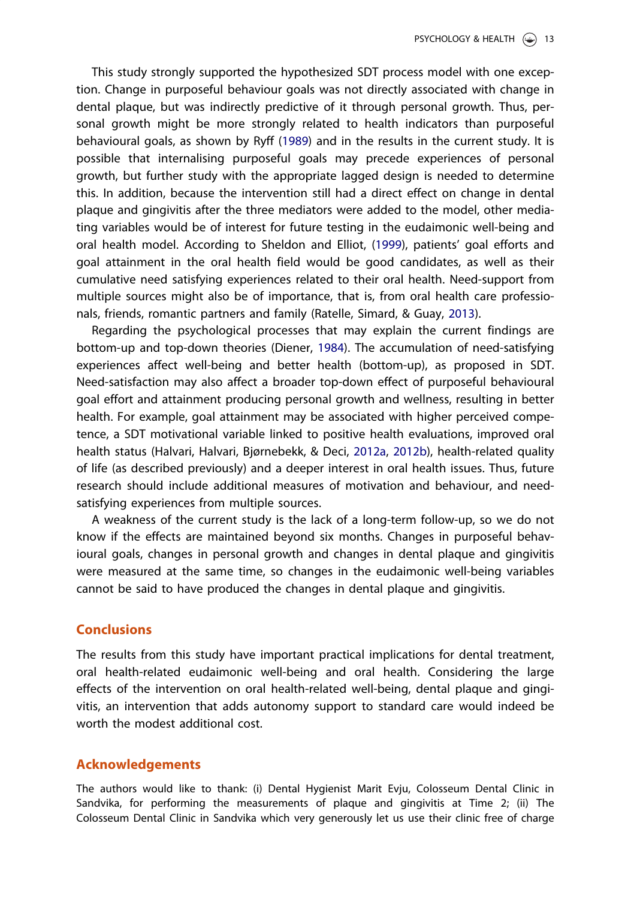<span id="page-13-0"></span>This study strongly supported the hypothesized SDT process model with one exception. Change in purposeful behaviour goals was not directly associated with change in dental plaque, but was indirectly predictive of it through personal growth. Thus, personal growth might be more strongly related to health indicators than purposeful behavioural goals, as shown by Ryff ([1989](#page-15-0)) and in the results in the current study. It is possible that internalising purposeful goals may precede experiences of personal growth, but further study with the appropriate lagged design is needed to determine this. In addition, because the intervention still had a direct effect on change in dental plaque and gingivitis after the three mediators were added to the model, other mediating variables would be of interest for future testing in the eudaimonic well-being and oral health model. According to Sheldon and Elliot, ([1999](#page-15-0)), patients' goal efforts and goal attainment in the oral health field would be good candidates, as well as their cumulative need satisfying experiences related to their oral health. Need-support from multiple sources might also be of importance, that is, from oral health care professionals, friends, romantic partners and family (Ratelle, Simard, & Guay, [2013](#page-15-0)).

Regarding the psychological processes that may explain the current findings are bottom-up and top-down theories (Diener, [1984](#page-14-0)). The accumulation of need-satisfying experiences affect well-being and better health (bottom-up), as proposed in SDT. Need-satisfaction may also affect a broader top-down effect of purposeful behavioural goal effort and attainment producing personal growth and wellness, resulting in better health. For example, goal attainment may be associated with higher perceived competence, a SDT motivational variable linked to positive health evaluations, improved oral health status (Halvari, Halvari, Bjørnebekk, & Deci, [2012a,](#page-14-0) [2012b\)](#page-14-0), health-related quality of life (as described previously) and a deeper interest in oral health issues. Thus, future research should include additional measures of motivation and behaviour, and needsatisfying experiences from multiple sources.

A weakness of the current study is the lack of a long-term follow-up, so we do not know if the effects are maintained beyond six months. Changes in purposeful behavioural goals, changes in personal growth and changes in dental plaque and gingivitis were measured at the same time, so changes in the eudaimonic well-being variables cannot be said to have produced the changes in dental plaque and gingivitis.

## **Conclusions**

The results from this study have important practical implications for dental treatment, oral health-related eudaimonic well-being and oral health. Considering the large effects of the intervention on oral health-related well-being, dental plaque and gingivitis, an intervention that adds autonomy support to standard care would indeed be worth the modest additional cost.

#### Acknowledgements

The authors would like to thank: (i) Dental Hygienist Marit Evju, Colosseum Dental Clinic in Sandvika, for performing the measurements of plaque and gingivitis at Time 2; (ii) The Colosseum Dental Clinic in Sandvika which very generously let us use their clinic free of charge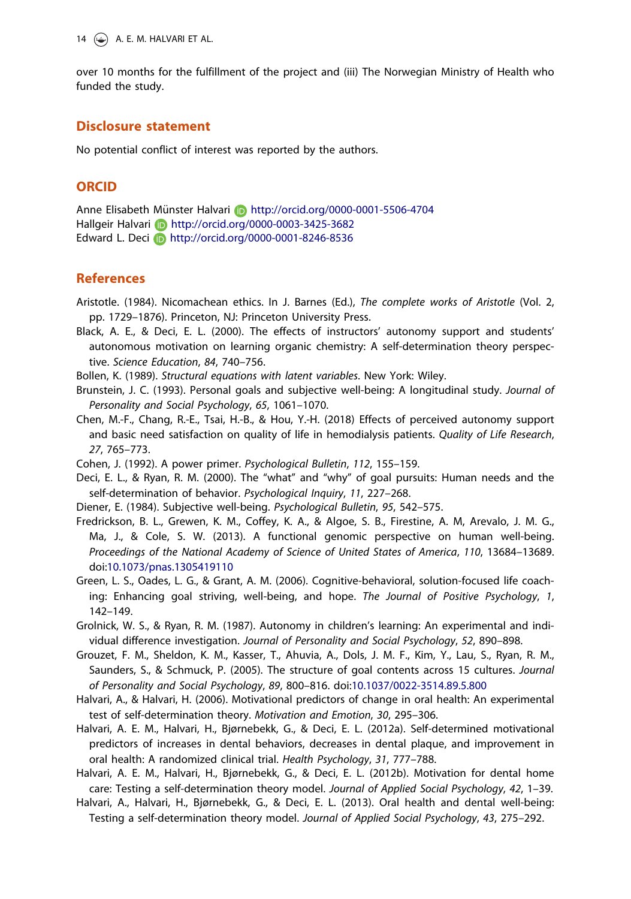<span id="page-14-0"></span>14  $\left(\rightarrow\right)$  A. E. M. HALVARI ET AL.

over 10 months for the fulfillment of the project and (iii) The Norwegian Ministry of Health who funded the study.

## Disclosure statement

No potential conflict of interest was reported by the authors.

## **ORCID**

Anne Elisabeth Munster Halvari € http://orcid.org/0000-0001-5506-4704 Hallgeir Halvari **http://orcid.org/0000-0003-3425-3682** Edward L. Deci **b** http://orcid.org/0000-0001-8246-8536

## References

- Aristotle. ([1984](#page-2-0)). Nicomachean ethics. In J. Barnes (Ed.), The complete works of Aristotle (Vol. 2, pp. 1729–1876). Princeton, NJ: Princeton University Press.
- Black, A. E., & Deci, E. L. ([2000](#page-3-0)). The effects of instructors' autonomy support and students' autonomous motivation on learning organic chemistry: A self-determination theory perspective. Science Education, 84, 740–756.
- Bollen, K. ([1989\)](#page-7-0). Structural equations with latent variables. New York: Wiley.
- Brunstein, J. C. [\(1993\)](#page-3-0). Personal goals and subjective well-being: A longitudinal study. Journal of Personality and Social Psychology, 65, 1061–1070.
- Chen, M.-F., Chang, R.-E., Tsai, H.-B., & Hou, Y.-H. [\(2018\)](#page-12-0) Effects of perceived autonomy support and basic need satisfaction on quality of life in hemodialysis patients. Quality of Life Research, 27, 765–773.
- Cohen, J. [\(1992](#page-10-0)). A power primer. Psychological Bulletin, 112, 155–159.
- Deci, E. L., & Ryan, R. M. ([2000](#page-1-0)). The "what" and "why" of goal pursuits: Human needs and the self-determination of behavior. Psychological Inquiry, 11, 227–268.
- Diener, E. ([1984](#page-13-0)). Subjective well-being. Psychological Bulletin, 95, 542–575.
- Fredrickson, B. L., Grewen, K. M., Coffey, K. A., & Algoe, S. B., Firestine, A. M, Arevalo, J. M. G., Ma, J., & Cole, S. W. [\(2013\)](#page-4-0). A functional genomic perspective on human well-being. Proceedings of the National Academy of Science of United States of America, 110, 13684–13689. doi:[10.1073/pnas.1305419110](https://doi.org/10.1073/pnas.1305419110)
- Green, L. S., Oades, L. G., & Grant, A. M. [\(2006\)](#page-3-0). Cognitive-behavioral, solution-focused life coaching: Enhancing goal striving, well-being, and hope. The Journal of Positive Psychology, 1, 142–149.
- Grolnick, W. S., & Ryan, R. M. ([1987](#page-3-0)). Autonomy in children's learning: An experimental and individual difference investigation. Journal of Personality and Social Psychology, 52, 890–898.
- Grouzet, F. M., Sheldon, K. M., Kasser, T., Ahuvia, A., Dols, J. M. F., Kim, Y., Lau, S., Ryan, R. M., Saunders, S., & Schmuck, P. ([2005](#page-12-0)). The structure of goal contents across 15 cultures. Journal of Personality and Social Psychology, 89, 800–816. doi[:10.1037/0022-3514.89.5.800](https://doi.org/10.1037/0022-3514.89.5.800)
- Halvari, A., & Halvari, H. [\(2006\)](#page-2-0). Motivational predictors of change in oral health: An experimental test of self-determination theory. Motivation and Emotion, 30, 295–306.
- Halvari, A. E. M., Halvari, H., Bjørnebekk, G., & Deci, E. L. ([2012a\)](#page-4-0). Self-determined motivational predictors of increases in dental behaviors, decreases in dental plaque, and improvement in oral health: A randomized clinical trial. Health Psychology, 31, 777–788.
- Halvari, A. E. M., Halvari, H., Bjørnebekk, G., & Deci, E. L. ([2012b](#page-13-0)). Motivation for dental home care: Testing a self-determination theory model. Journal of Applied Social Psychology, 42, 1–39.
- Halvari, A., Halvari, H., Bjørnebekk, G., & Deci, E. L. ([2013](#page-2-0)). Oral health and dental well-being: Testing a self-determination theory model. Journal of Applied Social Psychology, 43, 275–292.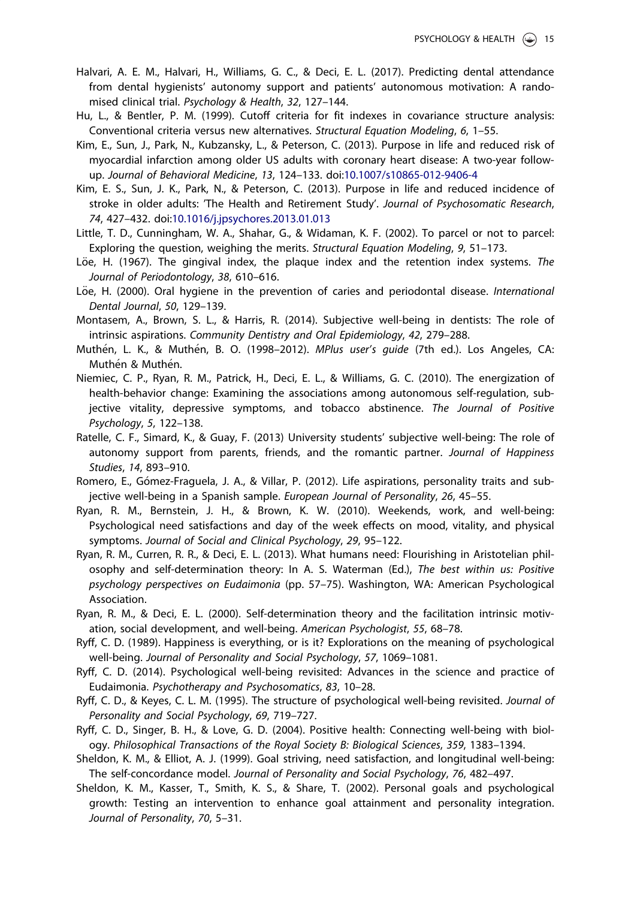- <span id="page-15-0"></span>Halvari, A. E. M., Halvari, H., Williams, G. C., & Deci, E. L. ([2017](#page-2-0)). Predicting dental attendance from dental hygienists' autonomy support and patients' autonomous motivation: A randomised clinical trial. Psychology & Health, 32, 127–144.
- Hu, L., & Bentler, P. M. [\(1999\)](#page-7-0). Cutoff criteria for fit indexes in covariance structure analysis: Conventional criteria versus new alternatives. Structural Equation Modeling, 6, 1–55.
- Kim, E., Sun, J., Park, N., Kubzansky, L., & Peterson, C. [\(2013\)](#page-4-0). Purpose in life and reduced risk of myocardial infarction among older US adults with coronary heart disease: A two-year followup. Journal of Behavioral Medicine, 13, 124–133. doi[:10.1007/s10865-012-9406-4](https://doi.org/10.1007/s10865-012-9406-4)
- Kim, E. S., Sun, J. K., Park, N., & Peterson, C. [\(2013\)](#page-4-0). Purpose in life and reduced incidence of stroke in older adults: 'The Health and Retirement Study'. Journal of Psychosomatic Research, 74, 427–432. doi:[10.1016/j.jpsychores.2013.01.013](https://doi.org/10.1016/j.jpsychores.2013.01.013)
- Little, T. D., Cunningham, W. A., Shahar, G., & Widaman, K. F. ([2002](#page-7-0)). To parcel or not to parcel: Exploring the question, weighing the merits. Structural Equation Modeling, 9, 51–173.
- Löe, H. ([1967](#page-6-0)). The gingival index, the plaque index and the retention index systems. The Journal of Periodontology, 38, 610–616.
- Löe, H. ([2000](#page-4-0)). Oral hygiene in the prevention of caries and periodontal disease. International Dental Journal, 50, 129–139.
- Montasem, A., Brown, S. L., & Harris, R. [\(2014\)](#page-3-0). Subjective well-being in dentists: The role of intrinsic aspirations. Community Dentistry and Oral Epidemiology, 42, 279–288.
- Muthén, L. K., & Muthén, B. O. ([1998](#page-7-0)–2012). *MPlus user's guide* (7th ed.). Los Angeles, CA: Muthén & Muthén.
- Niemiec, C. P., Ryan, R. M., Patrick, H., Deci, E. L., & Williams, G. C. [\(2010](#page-3-0)). The energization of health-behavior change: Examining the associations among autonomous self-regulation, subjective vitality, depressive symptoms, and tobacco abstinence. The Journal of Positive Psychology, 5, 122–138.
- Ratelle, C. F., Simard, K., & Guay, F. [\(2013\)](#page-13-0) University students' subjective well-being: The role of autonomy support from parents, friends, and the romantic partner. Journal of Happiness Studies, 14, 893–910.
- Romero, E., Gómez-Fraguela, J. A., & Villar, P. [\(2012\)](#page-3-0). Life aspirations, personality traits and subjective well-being in a Spanish sample. European Journal of Personality, 26, 45–55.
- Ryan, R. M., Bernstein, J. H., & Brown, K. W. [\(2010\)](#page-3-0). Weekends, work, and well-being: Psychological need satisfactions and day of the week effects on mood, vitality, and physical symptoms. Journal of Social and Clinical Psychology, 29, 95–122.
- Ryan, R. M., Curren, R. R., & Deci, E. L. [\(2013\)](#page-3-0). What humans need: Flourishing in Aristotelian philosophy and self-determination theory: In A. S. Waterman (Ed.), The best within us: Positive psychology perspectives on Eudaimonia (pp. 57–75). Washington, WA: American Psychological Association.
- Ryan, R. M., & Deci, E. L. ([2000](#page-3-0)). Self-determination theory and the facilitation intrinsic motivation, social development, and well-being. American Psychologist, 55, 68–78.
- Ryff, C. D. ([1989](#page-4-0)). Happiness is everything, or is it? Explorations on the meaning of psychological well-being. Journal of Personality and Social Psychology, 57, 1069–1081.
- Ryff, C. D. [\(2014\)](#page-2-0). Psychological well-being revisited: Advances in the science and practice of Eudaimonia. Psychotherapy and Psychosomatics, 83, 10–28.
- Ryff, C. D., & Keyes, C. L. M. ([1995](#page-6-0)). The structure of psychological well-being revisited. Journal of Personality and Social Psychology, 69, 719–727.
- Ryff, C. D., Singer, B. H., & Love, G. D. ([2004](#page-4-0)). Positive health: Connecting well-being with biology. Philosophical Transactions of the Royal Society B: Biological Sciences, 359, 1383–1394.
- Sheldon, K. M., & Elliot, A. J. ([1999](#page-3-0)). Goal striving, need satisfaction, and longitudinal well-being: The self-concordance model. Journal of Personality and Social Psychology, 76, 482–497.
- Sheldon, K. M., Kasser, T., Smith, K. S., & Share, T. [\(2002\)](#page-3-0). Personal goals and psychological growth: Testing an intervention to enhance goal attainment and personality integration. Journal of Personality, 70, 5–31.